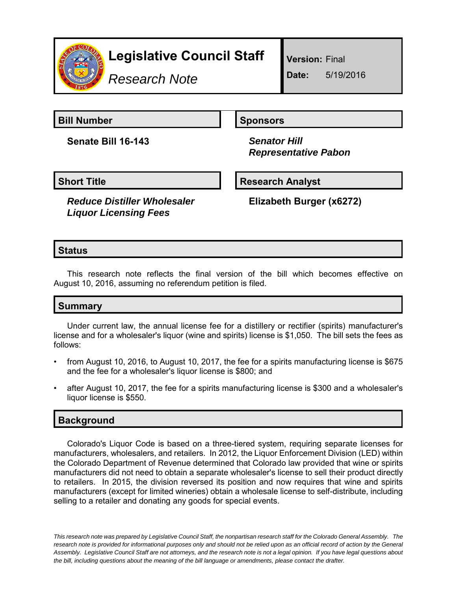

# **Legislative Council Staff**

*Research Note*

**Version:** Final

**Date:** 5/19/2016

**Bill Number Sponsors** 

**Senate Bill 16-143** *Senator Hill*

 *Representative Pabon*

**Short Title Community Community Community Research Analyst** 

*Reduce Distiller Wholesaler Liquor Licensing Fees*

**Elizabeth Burger (x6272)**

## **Status**

This research note reflects the final version of the bill which becomes effective on August 10, 2016, assuming no referendum petition is filed.

### **Summary**

Under current law, the annual license fee for a distillery or rectifier (spirits) manufacturer's license and for a wholesaler's liquor (wine and spirits) license is \$1,050. The bill sets the fees as follows:

- from August 10, 2016, to August 10, 2017, the fee for a spirits manufacturing license is \$675 and the fee for a wholesaler's liquor license is \$800; and
- after August 10, 2017, the fee for a spirits manufacturing license is \$300 and a wholesaler's liquor license is \$550.

### **Background**

Colorado's Liquor Code is based on a three-tiered system, requiring separate licenses for manufacturers, wholesalers, and retailers. In 2012, the Liquor Enforcement Division (LED) within the Colorado Department of Revenue determined that Colorado law provided that wine or spirits manufacturers did not need to obtain a separate wholesaler's license to sell their product directly to retailers. In 2015, the division reversed its position and now requires that wine and spirits manufacturers (except for limited wineries) obtain a wholesale license to self-distribute, including selling to a retailer and donating any goods for special events.

*This research note was prepared by Legislative Council Staff, the nonpartisan research staff for the Colorado General Assembly. The research note is provided for informational purposes only and should not be relied upon as an official record of action by the General Assembly. Legislative Council Staff are not attorneys, and the research note is not a legal opinion. If you have legal questions about the bill, including questions about the meaning of the bill language or amendments, please contact the drafter.*